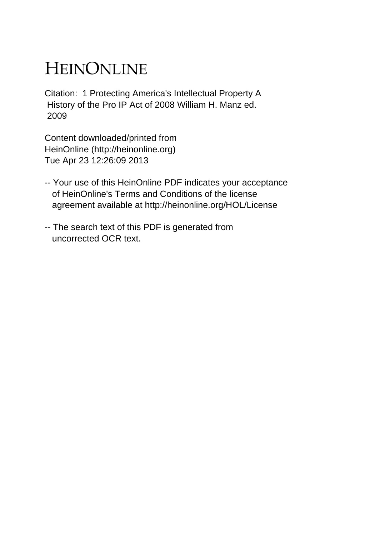# HEINONLINE

Citation: 1 Protecting America's Intellectual Property A History of the Pro IP Act of 2008 William H. Manz ed. 2009

Content downloaded/printed from HeinOnline (http://heinonline.org) Tue Apr 23 12:26:09 2013

- -- Your use of this HeinOnline PDF indicates your acceptance of HeinOnline's Terms and Conditions of the license agreement available at http://heinonline.org/HOL/License
- -- The search text of this PDF is generated from uncorrected OCR text.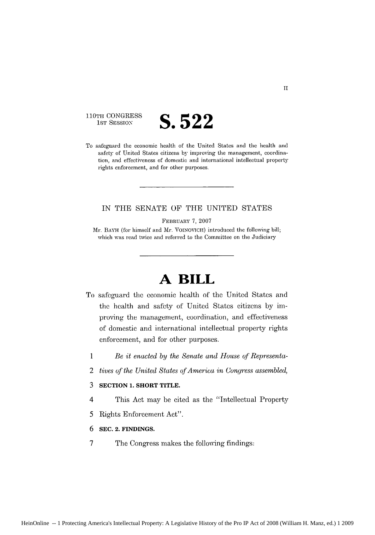110TH **CONGRESS** 1ST SESSION



To safeguard the economic health of the United States and the health and safety of United States citizens by improving the management, coordina**tion,** and effectiveness of domestic and international intellectual property rights enforcement, and for other purposes.

#### IN THE SENATE OF THE UNITED STATES

FEBRUARY 7, 2007

Mr. BAYH (for himself and Mr. VOINOVICFI) introduced the following bill; which was read twice and referred to the Committee on the Judiciary

# **A BILL**

- To safeguard the economic health of the United States and the health and safety of United States citizens by improving the management, coordination, and effectiveness of domestic and international intellectual property rights enforcement, and for other purposes.
	- *1 Be it enacted by the Senate and House of Representa-*
	- *2 tires of the United States of America in Congress assembled,*

#### **3 SECTION 1. SHORT TITLE.**

- 4 This Act may be cited as the "Intellectual Property
- *5* Rights Enforcement Act".

### **6 SEC. 2. FINDINGS.**

7 The Congress makes the following findings: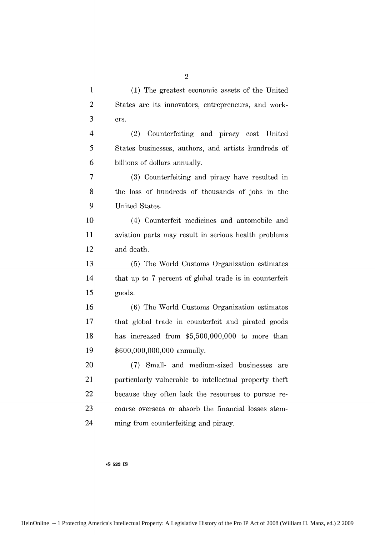| 10 | (4) Counterfeit medicines and automobile and                                                                                              |
|----|-------------------------------------------------------------------------------------------------------------------------------------------|
| 11 | aviation parts may result in serious health problems                                                                                      |
| 12 | and death.                                                                                                                                |
| 13 | (5) The World Customs Organization estimates                                                                                              |
| 14 | that up to 7 percent of global trade is in counterfeit                                                                                    |
| 15 | goods.                                                                                                                                    |
| 16 | (6) The World Customs Organization estimates                                                                                              |
| 17 | that global trade in counterfeit and pirated goods                                                                                        |
| 18 | has increased from \$5,500,000,000 to more than                                                                                           |
| 19 | \$600,000,000,000 annually.                                                                                                               |
| 20 | (7) Small- and medium-sized businesses are                                                                                                |
| 21 | particularly vulnerable to intellectual property theft                                                                                    |
| 22 | because they often lack the resources to pursue re-                                                                                       |
| 23 | course overseas or absorb the financial losses stem-                                                                                      |
| 24 | ming from counterfeiting and piracy.                                                                                                      |
|    | $\cdot$ S 522 IS                                                                                                                          |
|    | HeinOnline -- 1 Protecting America's Intellectual Property: A Legislative History of the Pro IP Act of 2008 (William H. Manz, ed.) 2 2009 |

6 billions of dollars annually.

7 (3) Counterfeiting and piracy have resulted in 8 the loss of hundreds of thousands of jobs in the 9 United States.

3 ers.

2 1 (1) The greatest economic assets of the United

2 States are its innovators, entrepreneurs, and work-

4 (2) Counterfeiting and piracy cost United **5** States businesses, authors, and artists hundreds of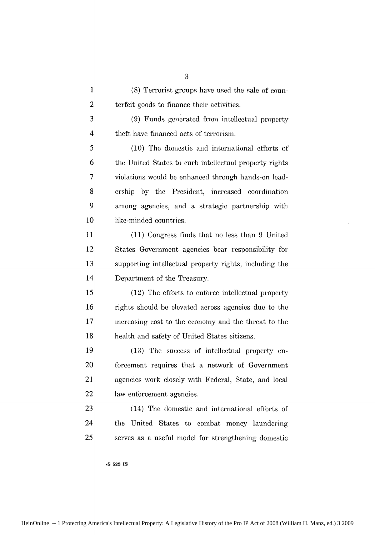| 1              | (8) Terrorist groups have used the sale of coun-       |
|----------------|--------------------------------------------------------|
| $\overline{c}$ | terfeit goods to finance their activities.             |
| 3              | (9) Funds generated from intellectual property         |
| 4              | theft have financed acts of terrorism.                 |
| 5              | (10) The domestic and international efforts of         |
| 6              | the United States to curb intellectual property rights |
| 7              | violations would be enhanced through hands-on lead-    |
| 8              | ership by the President, increased coordination        |
| 9              | among agencies, and a strategic partnership with       |
| 10             | like-minded countries.                                 |
| 11             | (11) Congress finds that no less than 9 United         |
| 12             | States Government agencies bear responsibility for     |
| 13             | supporting intellectual property rights, including the |
| 14             | Department of the Treasury.                            |
| 15             | (12) The efforts to enforce intellectual property      |
| 16             | rights should be elevated across agencies due to the   |
| 17             | increasing cost to the economy and the threat to the   |
| 18             | health and safety of United States citizens.           |
| 19             | (13) The success of intellectual property en-          |
| 20             | forcement requires that a network of Government        |
| 21             | agencies work closely with Federal, State, and local   |
| 22             | law enforcement agencies.                              |
| 23             | (14) The domestic and international efforts of         |
| 24             | the<br>United States to combat money laundering        |
| 25             | serves as a useful model for strengthening domestic    |
|                |                                                        |

**\*S 522 IS**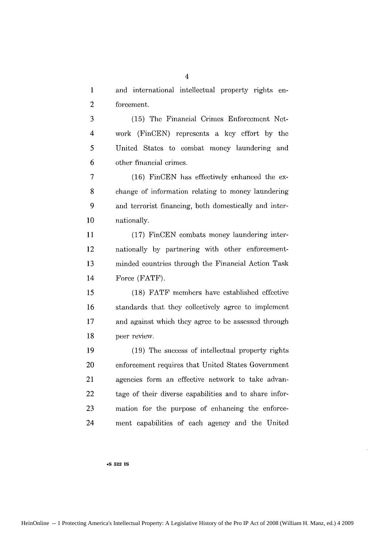**1** and international intellectual property rights en-2 forcement.

**3 (15)** The Financial Crimes Enforcement Net-4 work (FinCEN) represents a **key** effort **by** the **5** United States to combat money laundering and **6** other financial crimes.

**7 (16)** FinCEN has effectively enhanced the ex-change of information relating to money laundering and terrorist financing, both domestically and inter-nationally.

**11 (17)** FinCEN combats money laundering inter-12 nationally **by** partnering with other enforcement-**13** minded countries through the Financial Action Task 14 Force (FATF).

**(18)** FATF members have established effective standards that they collectively agree to implement and against which they agree to **be** assessed through peer review.

**19 (19)** The success of intellectual property rights 20 enforcement requires that United States Government 21 agencies form an effective network to take advan-22 tage of their diverse capabilities and to share infor-**23** mation for the **purpose** of enhancing the enforce-24 ment capabilities of each agency and the United

**\*S 522 IS**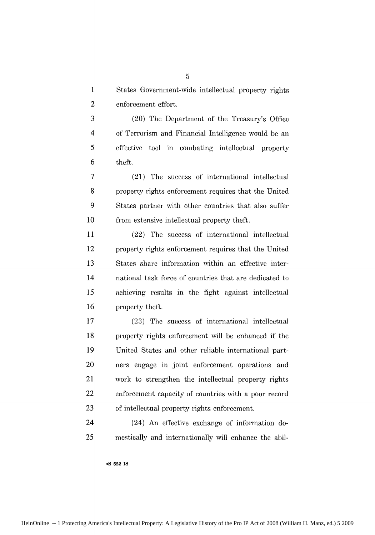**1** States Government-wide intellectual property rights 2 enforcement effort.

3 (20) The Department of the Treasury's Office 4 of Terrorism and Financial Intelligence would be an *5* effective tool in combating intellectual property 6 theft.

**7** (21) The success of international intellectual 8 property rights enforcement requires that the United 9 States partner with other countries that also suffer 10 from extensive intellectual property theft.

11 (22) The success of international intellectual 12 property rights enforcement requires that the United 13 States share information within an effective inter-14 national task force of countries that are dedicated to 15 achieving results in the fight against intellectual 16 property theft.

17 (23) The success of international intellectual 18 property rights enforcement will be enhanced if the 19 United States and other reliable international part-20 ners engage in joint enforcement operations and 21 work to strengthen the intellectual property rights 22 enforcement capacity of countries with a poor record 23 of intellectual property rights enforcement.

24 (24) An effective exchange of information do-25 mestically and internationally will enhance the abil-

**•S 522 IS**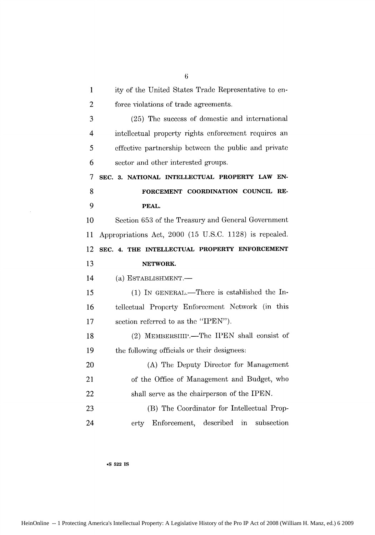1 ity of the United States Trade Representative to en-2 force violations of trade agreements. 3 (25) The success of domestic and international 4 intellectual property rights enforcement requires an 5 effective partnership between the public and private 6 sector and other interested groups. **7 SEC. 3. NATIONAL INTELLECTUAL PROPERTY LAW EN-8 FORCEMENT COORDINATION COUNCIL RE-9 PEAL. 10** Section 653 of the Treasury and General Government **<sup>11</sup>**Appropriations Act, 2000 (15 U.S.C. 1128) is repealed. 12 **SEC. 4. THE INTELLECTUAL PROPERTY ENFORCEMENT 13 NETWORK.** 14 (a) ESTABLISHMENT. 15 (1) IN GENERAL.—There is established the In-16 tellectual Property Enforcement Network (in this 17 section referred to as the "IPEN"). 18 (2) MEMBERSIIIP.—The IPEN shall consist of 19 the following officials or their designees: 20 (A) The Deputy Director for Management 21 of the Office of Management and Budget, who 22 shall serve as the chairperson of the IPEN. 23 (B) The Coordinator for Intellectual Prop-24 erty Enforcement, described in subsection

#### **\*S 522 IS**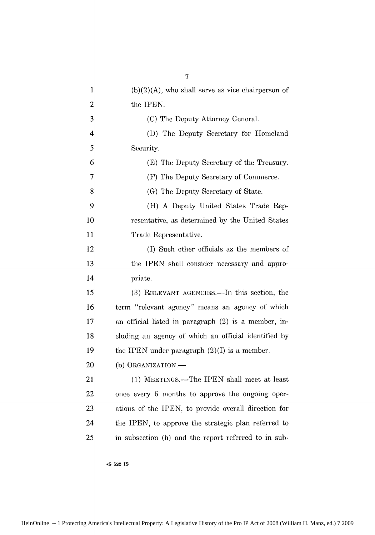| 1                       | $(b)(2)(A)$ , who shall serve as vice chairperson of |
|-------------------------|------------------------------------------------------|
| $\overline{2}$          | the IPEN.                                            |
| 3                       | (C) The Deputy Attorney General.                     |
| $\overline{\mathbf{4}}$ | (D) The Deputy Secretary for Homeland                |
| 5                       | Security.                                            |
| 6                       | (E) The Deputy Secretary of the Treasury.            |
| 7                       | (F) The Deputy Secretary of Commerce.                |
| 8                       | (G) The Deputy Secretary of State.                   |
| 9                       | (H) A Deputy United States Trade Rep-                |
| 10                      | resentative, as determined by the United States      |
| 11                      | Trade Representative.                                |
| 12                      | (I) Such other officials as the members of           |
| 13                      | the IPEN shall consider necessary and appro-         |
| 14                      | priate.                                              |
| 15                      | (3) RELEVANT AGENCIES.—In this section, the          |
| 16                      | term "relevant agency" means an agency of which      |
| 17                      | an official listed in paragraph (2) is a member, in- |
| 18                      | cluding an agency of which an official identified by |
| 19                      | the IPEN under paragraph $(2)(I)$ is a member.       |
| 20                      | (b) ORGANIZATION.-                                   |
| 21                      | (1) MEETINGS.—The IPEN shall meet at least           |
| 22                      | once every 6 months to approve the ongoing oper-     |
| 23                      | ations of the IPEN, to provide overall direction for |
| 24                      | the IPEN, to approve the strategic plan referred to  |
| 25                      | in subsection (h) and the report referred to in sub- |

**oS 522 IS**

HeinOnline -- 1 Protecting America's Intellectual Property: A Legislative History of the Pro IP Act of 2008 (William H. Manz, ed.) 7 2009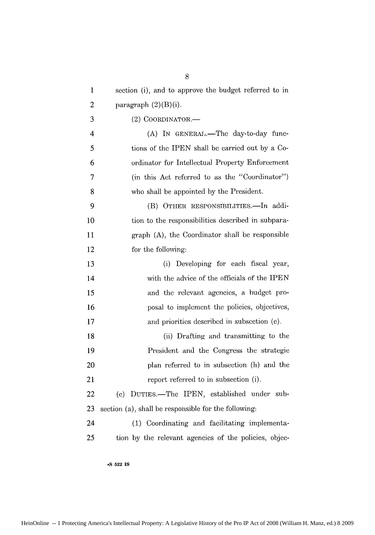| 1              | section (i), and to approve the budget referred to in |
|----------------|-------------------------------------------------------|
| $\overline{2}$ | paragraph (2)(B)(i).                                  |
| 3              | $(2)$ COORDINATOR.—                                   |
| 4              | (A) IN GENERAL.-The day-to-day func-                  |
| 5              | tions of the IPEN shall be carried out by a Co-       |
| 6              | ordinator for Intellectual Property Enforcement       |
| 7              | (in this Act referred to as the "Coordinator")        |
| 8              | who shall be appointed by the President.              |
| 9              | (B) OTHER RESPONSIBILITIES.-In addi-                  |
| 10             | tion to the responsibilities described in subpara-    |
| 11             | graph (A), the Coordinator shall be responsible       |
| 12             | for the following:                                    |
| 13             | Developing for each fiscal year,<br>(i)               |
| 14             | with the advice of the officials of the IPEN          |
| 15             | and the relevant agencies, a budget pro-              |
| 16             | posal to implement the policies, objectives,          |
| 17             | and priorities described in subsection (c).           |
| 18             | (ii) Drafting and transmitting to the                 |
| 19             | President and the Congress the strategic              |
| 20             | plan referred to in subsection (h) and the            |
| 21             | report referred to in subsection (i).                 |
| 22             | DUTIES.-The IPEN, established under sub-<br>(e)       |
| 23             | section (a), shall be responsible for the following:  |
| 24             | (1) Coordinating and facilitating implementa-         |
| 25             | tion by the relevant agencies of the policies, objec- |
|                |                                                       |

**\*8 522 IS**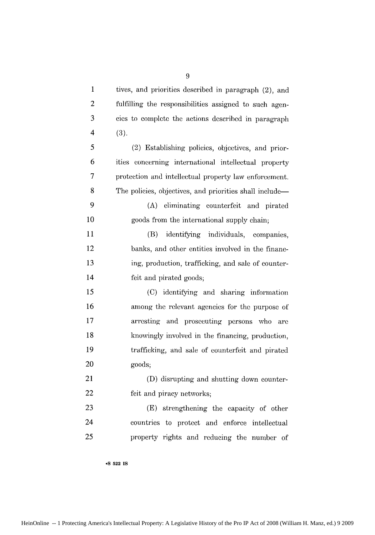| $\mathbf{1}$   | tives, and priorities described in paragraph (2), and   |
|----------------|---------------------------------------------------------|
| $\mathbf{2}$   | fulfilling the responsibilities assigned to such agen-  |
| 3              | cies to complete the actions described in paragraph     |
| $\overline{4}$ | (3).                                                    |
| 5              | (2) Establishing policies, objectives, and prior-       |
| 6              | ities concerning international intellectual property    |
| 7              | protection and intellectual property law enforcement.   |
| 8              | The policies, objectives, and priorities shall include— |
| 9              | (A) eliminating counterfeit and pirated                 |
| 10             | goods from the international supply chain;              |
| 11             | identifying individuals, companies,<br>(B)              |
| 12             | banks, and other entities involved in the financ-       |
| 13             | ing, production, trafficking, and sale of counter-      |
| 14             | feit and pirated goods;                                 |
| 15             | (C) identifying and sharing information                 |
| 16             | among the relevant agencies for the purpose of          |
| 17             | arresting and prosecuting persons who<br>are            |
| 18             | knowingly involved in the financing, production,        |
| 19             | trafficking, and sale of counterfeit and pirated        |
| 20             | goods;                                                  |
| 21             | (D) disrupting and shutting down counter-               |
| 22             | feit and piracy networks;                               |
| 23             | (E) strengthening the capacity of other                 |
| 24             | countries to protect and enforce intellectual           |
| 25             | property rights and reducing the number of              |

**\*S 522 IS**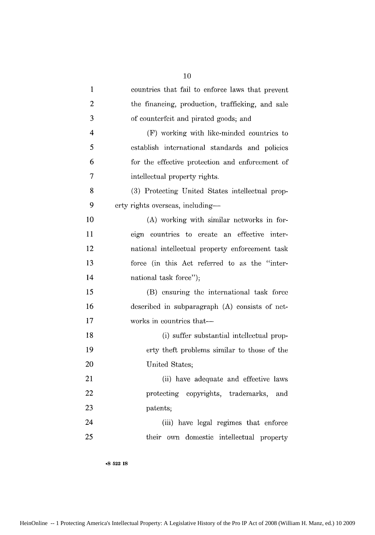| $\mathbf{1}$   | countries that fail to enforce laws that prevent |
|----------------|--------------------------------------------------|
| $\overline{c}$ | the financing, production, trafficking, and sale |
| 3              | of counterfeit and pirated goods; and            |
| $\overline{4}$ | (F) working with like-minded countries to        |
| 5              | establish international standards and policies   |
| 6              | for the effective protection and enforcement of  |
| 7              | intellectual property rights.                    |
| 8              | (3) Protecting United States intellectual prop-  |
| 9              | erty rights overseas, including-                 |
| 10             | (A) working with similar networks in for-        |
| 11             | eign countries to create an effective inter-     |
| 12             | national intellectual property enforcement task  |
| 13             | force (in this Act referred to as the "inter-    |
| 14             | national task force");                           |
| 15             | (B) ensuring the international task force        |
| 16             | described in subparagraph (A) consists of net-   |
| 17             | works in countries that-                         |
| 18             | (i) suffer substantial intellectual prop-        |
| 19             | erty theft problems similar to those of the      |
| 20             | United States;                                   |
| 21             | (ii) have adequate and effective laws            |
| 22             | protecting copyrights, trademarks,<br>and        |
| 23             | patents;                                         |
| 24             | (iii) have legal regimes that enforce            |
| 25             | their own domestic intellectual property         |

**9S 522 IS**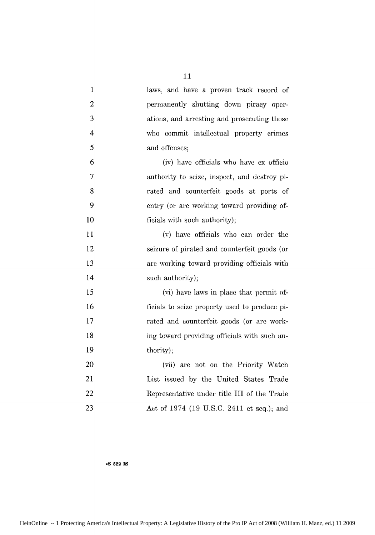| $\mathbf{1}$ | laws, and have a proven track record of       |
|--------------|-----------------------------------------------|
| 2            | permanently shutting down piracy oper-        |
| 3            | ations, and arresting and prosecuting those   |
| 4            | who commit intellectual property crimes       |
| 5            | and offenses;                                 |
| 6            | (iv) have officials who have ex officio       |
| 7            | authority to seize, inspect, and destroy pi-  |
| 8            | rated and counterfeit goods at ports of       |
| 9            | entry (or are working toward providing of-    |
| 10           | ficials with such authority);                 |
| 11           | (v) have officials who can order the          |
| 12           | seizure of pirated and counterfeit goods (or  |
| 13           | are working toward providing officials with   |
| 14           | such authority);                              |
| 15           | (vi) have laws in place that permit of-       |
| 16           | ficials to seize property used to produce pi- |
| 17           | rated and counterfeit goods (or are work-     |
| 18           | ing toward providing officials with such au-  |
| 19           | thority);                                     |
| 20           | (vii) are not on the Priority Watch           |
| 21           | List issued by the United States Trade        |
| 22           | Representative under title III of the Trade   |
| 23           | Act of 1974 (19 U.S.C. 2411 et seq.); and     |

#### **-S 522 IS**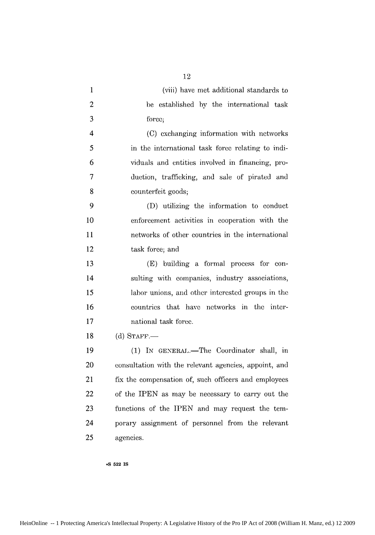| $\mathbf{1}$   | (viii) have met additional standards to               |
|----------------|-------------------------------------------------------|
| $\overline{c}$ | be established by the international task              |
| 3              | force;                                                |
| $\overline{4}$ | (C) exchanging information with networks              |
| 5              | in the international task force relating to indi-     |
| 6              | viduals and entities involved in financing, pro-      |
| $\overline{7}$ | duction, trafficking, and sale of pirated and         |
| 8              | counterfeit goods;                                    |
| 9              | (D) utilizing the information to conduct              |
| 10             | enforcement activities in cooperation with the        |
| 11             | networks of other countries in the international      |
| 12             | task force; and                                       |
| 13             | (E) building a formal process for con-                |
| 14             | sulting with companies, industry associations,        |
| 15             | labor unions, and other interested groups in the      |
| 16             | countries that have networks in the inter-            |
| 17             | national task force.                                  |
| 18             | $(d)$ STAFF.                                          |
| 19             | (1) IN GENERAL.-The Coordinator shall, in             |
| 20             | consultation with the relevant agencies, appoint, and |
| 21             | fix the compensation of, such officers and employees  |
| 22             | of the IPEN as may be necessary to carry out the      |
| 23             | functions of the IPEN and may request the tem-        |
| 24             | porary assignment of personnel from the relevant      |
| 25             | agencies.                                             |

**\*S 522 IS**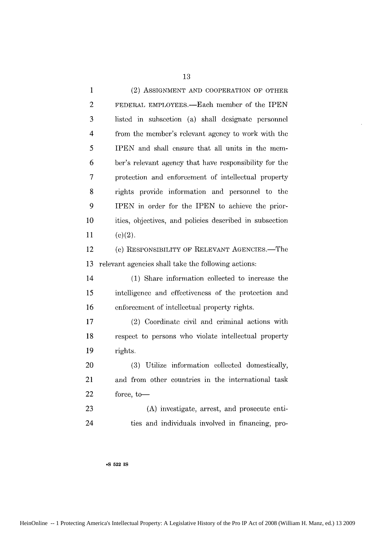| $\mathbf{1}$   | (2) ASSIGNMENT AND COOPERATION OF OTHER                 |
|----------------|---------------------------------------------------------|
| $\overline{c}$ | FEDERAL EMPLOYEES.-Each member of the IPEN              |
| 3              | listed in subsection (a) shall designate personnel      |
| $\overline{4}$ | from the member's relevant agency to work with the      |
| 5              | IPEN and shall ensure that all units in the mem-        |
| 6              | ber's relevant agency that have responsibility for the  |
| 7              | protection and enforcement of intellectual property     |
| 8              | rights provide information and personnel to the         |
| 9              | IPEN in order for the IPEN to achieve the prior-        |
| 10             | ities, objectives, and policies described in subsection |
| 11             | (c)(2).                                                 |
| 12             | (e) RESPONSIBILITY OF RELEVANT AGENCIES.—The            |
| 13             | relevant agencies shall take the following actions:     |
| 14             | (1) Share information collected to increase the         |
| 15             | intelligence and effectiveness of the protection and    |
| 16             | enforcement of intellectual property rights.            |
| 17             | (2) Coordinate civil and criminal actions with          |
| 18             |                                                         |
|                | respect to persons who violate intellectual property    |
| 19             | rights.                                                 |
| 20             | (3) Utilize information collected domestically,         |
| 21             | and from other countries in the international task      |
| 22             | force, to-                                              |
| 23             | (A) investigate, arrest, and prosecute enti-            |

**\*S 522 IS**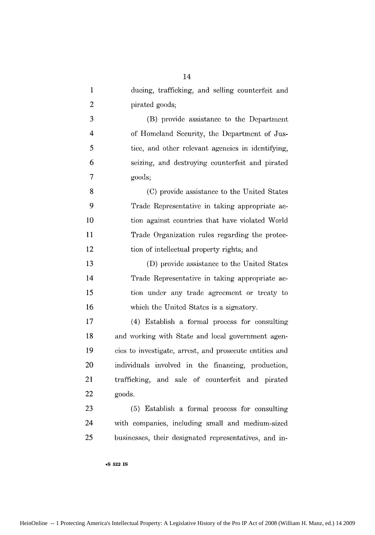| ducing, trafficking, and selling counterfeit and        |
|---------------------------------------------------------|
| pirated goods;                                          |
| (B) provide assistance to the Department                |
| of Homeland Security, the Department of Jus-            |
| tice, and other relevant agencies in identifying,       |
| seizing, and destroying counterfeit and pirated         |
| goods;                                                  |
| (C) provide assistance to the United States             |
| Trade Representative in taking appropriate ac-          |
| tion against countries that have violated World         |
| Trade Organization rules regarding the protec-          |
| tion of intellectual property rights; and               |
| (D) provide assistance to the United States             |
| Trade Representative in taking appropriate ac-          |
| tion under any trade agreement or treaty to             |
| which the United States is a signatory.                 |
| (4) Establish a formal process for consulting           |
| and working with State and local government agen-       |
| cies to investigate, arrest, and prosecute entities and |
| individuals involved in the financing, production,      |
| trafficking, and sale of counterfeit and pirated        |
| goods.                                                  |
| (5) Establish a formal process for consulting           |
| with companies, including small and medium-sized        |
| businesses, their designated representatives, and in-   |
|                                                         |

**.S 522 IS**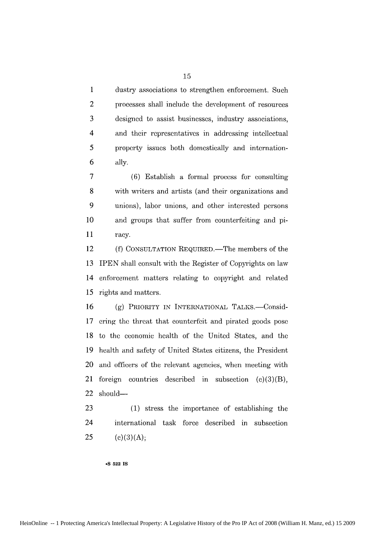**1** dustry associations to strengthen enforcement. Such 2 processes shall include the development of resources 3 desigied to assist businesses, industry associations, 4 and their representatives in addressing intellectual 5 property issues both domestically and internation-6 ally.

**7** (6) Establish a formal process for consulting 8 with writers and artists (and their organizations and 9 unions), labor unions, and other interested persons 10 and groups that suffer from counterfeiting and pi-11 racy.

12 (f) CONSULTATION REQUIRED.—The members of the 13 IPEN shall consult with the Register of Copyrights on law 14 enforcement matters relating to copyright and related 15 rights and matters.

16 (g) PRIORITY IN INTERNATIONAL TALKS.-Consid-17 ering the threat that counterfeit and pirated goods pose 18 to the economic health of the United States, and the 19 health and safety of United States citizens, the President 20 and officers of the relevant agencies, when meeting with 21 foreign countries described in subsection (c)(3)(B), 22 should-

23 (1) stress the importance of establishing the 24 international task force described in subsection 25 (e)(3)(A);

**\*S 522 IS**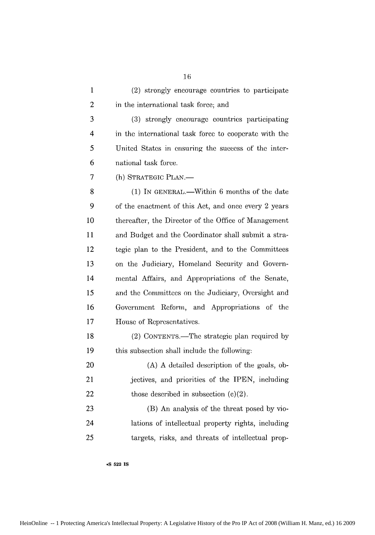| $\mathbf{1}$ | (2) strongly encourage countries to participate       |
|--------------|-------------------------------------------------------|
| 2            | in the international task force; and                  |
| 3            | (3) strongly encourage countries participating        |
| 4            | in the international task force to cooperate with the |
| 5            | United States in ensuring the success of the inter-   |
| 6            | national task force.                                  |
| 7            | (h) STRATEGIC PLAN.-                                  |
| 8            | (1) IN GENERAL.—Within 6 months of the date           |
| 9            | of the enactment of this Act, and once every 2 years  |
| 10           | thereafter, the Director of the Office of Management  |
| 11           | and Budget and the Coordinator shall submit a stra-   |
| 12           | tegic plan to the President, and to the Committees    |
| 13           | on the Judiciary, Homeland Security and Govern-       |
| 14           | mental Affairs, and Appropriations of the Senate,     |
| 15           | and the Committees on the Judiciary, Oversight and    |
| 16           | Government Reform, and Appropriations of the          |
| 17           | House of Representatives.                             |
| 18           | (2) CONTENTS.—The strategic plan required by          |
| 19           | this subsection shall include the following:          |
| 20           | (A) A detailed description of the goals, ob-          |
| 21           | jectives, and priorities of the IPEN, including       |
| 22           | those described in subsection $(c)(2)$ .              |
| 23           | (B) An analysis of the threat posed by vio-           |
| 24           | lations of intellectual property rights, including    |
| 25           | targets, risks, and threats of intellectual prop-     |

**oS 522 IS**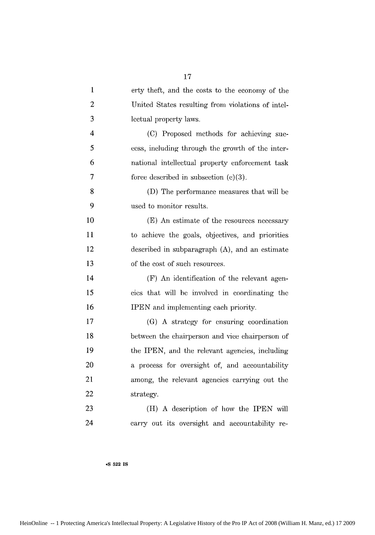| $\mathbf{1}$   | erty theft, and the costs to the economy of the   |
|----------------|---------------------------------------------------|
| $\overline{2}$ | United States resulting from violations of intel- |
| 3              | lectual property laws.                            |
| $\overline{4}$ | (C) Proposed methods for achieving suc-           |
| 5              | cess, including through the growth of the inter-  |
| 6              | national intellectual property enforcement task   |
| $\overline{7}$ | force described in subsection $(c)(3)$ .          |
| 8              | (D) The performance measures that will be         |
| 9              | used to monitor results.                          |
| 10             | (E) An estimate of the resources necessary        |
| 11             | to achieve the goals, objectives, and priorities  |
| 12             | described in subparagraph (A), and an estimate    |
| 13             | of the cost of such resources.                    |
| 14             | (F) An identification of the relevant agen-       |
| 15             | cies that will be involved in coordinating the    |
| 16             | IPEN and implementing each priority.              |
| 17             | (G) A strategy for ensuring coordination          |
| 18             | between the chairperson and vice chairperson of   |
| 19             | the IPEN, and the relevant agencies, including    |
| 20             | a process for oversight of, and accountability    |
| 21             | among, the relevant agencies carrying out the     |
| 22             | strategy.                                         |
| 23             | (H) A description of how the IPEN will            |
| 24             | carry out its oversight and accountability re-    |

#### **oS 522 IS**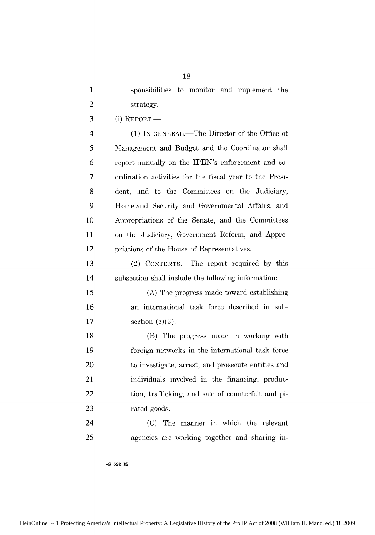**1** sponsibilities to monitor and implement the 2 strategy.

 $3$  (i) REPORT.—

4 (1) IN GENERAL.—The Director of the Office of 5 Management and Budget and the Coordinator shall 6 report annually on the IPEN's enforcement and co-**7** ordination activities for the fiscal year to the Presi-8 dent, and to the Committees on the Judiciary, 9 Homeland Security and Governmental Affairs, and 10 Appropriations of the Senate, and the Committees 11 on the Judiciary, Government Reform, and Appro-12 priations of the House of Representatives.

13 (2) CONTENTS.—The report required by this 14 subsection shall include the following information:

15 (A) The progress made toward establishing 16 an international task force described in sub-17 section  $(e)(3)$ .

18 (B) The progress made in working with 19 foreign networks in the international task force 20 to investigate, arrest, and prosecute entities and 21 individuals involved in the financing, produe-22 tion, trafficking, and sale of counterfeit and pi-23 rated goods.

24 (C) The manner in which the relevant 25 agencies are working together and sharing in-

**\*S 522 IS**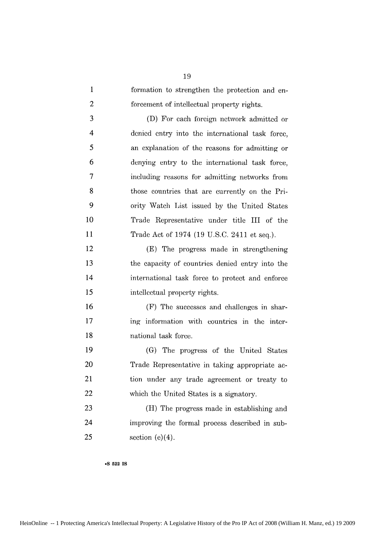| formation to strengthen the protection and en- |
|------------------------------------------------|
| forcement of intellectual property rights.     |

| 3              | (D) For each foreign network admitted or        |
|----------------|-------------------------------------------------|
| $\overline{4}$ | denied entry into the international task force, |
| $\overline{5}$ | an explanation of the reasons for admitting or  |
| 6              | denying entry to the international task force,  |
| $\tau$         | including reasons for admitting networks from   |
| 8              | those countries that are currently on the Pri-  |
| -9             | ority Watch List issued by the United States    |
| 10             | Trade Representative under title III of the     |
| 11             | Trade Act of 1974 (19 U.S.C. 2411 et seq.).     |

12 (E) The progress made in strengthening 13 the capacity of countries denied entry into the 14 international task force to protect and enforce 15 intellectual property rights.

16 (F) The successes and challenges in shar-17 ing information with countries in the inter-18 national task force.

19 (G) The progress of the United States 20 Trade Representative in taking appropriate ac-21 tion under any trade agreement or treaty to 22 which the United States is a signatory.

23 (H) The progress made in establishing and 24 improving the formal process described in sub-25 section  $(e)(4)$ .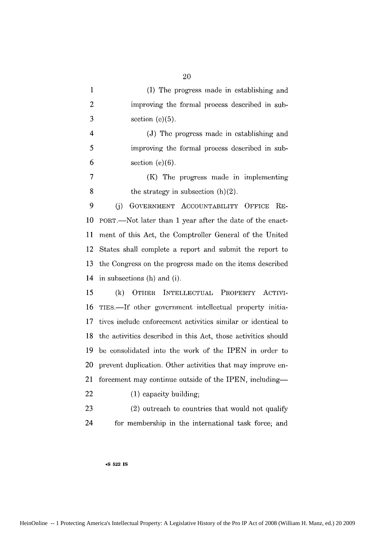| $\mathbf{1}$   | (I) The progress made in establishing and                     |
|----------------|---------------------------------------------------------------|
| $\overline{c}$ | improving the formal process described in sub-                |
| 3              | section $(e)(5)$ .                                            |
| 4              | (J) The progress made in establishing and                     |
| 5              | improving the formal process described in sub-                |
| 6              | section $(e)(6)$ .                                            |
| 7              | (K) The progress made in implementing                         |
| 8              | the strategy in subsection $(h)(2)$ .                         |
| 9              | GOVERNMENT ACCOUNTABILITY OFFICE<br>(i)<br>$RE-$              |
| 10             | PORT.—Not later than 1 year after the date of the enact-      |
| 11             | ment of this Act, the Comptroller General of the United       |
| 12             | States shall complete a report and submit the report to       |
| 13             | the Congress on the progress made on the items described      |
| 14             | in subsections (h) and (i).                                   |
| 15             | <b>INTELLECTUAL</b><br>PROPERTY<br>(k)<br>OTHER<br>ACTIVI-    |
| 16             | TIES.—If other government intellectual property initia-       |
| 17             | tives include enforcement activities similar or identical to  |
| 18             | the activities described in this Act, those activities should |
| 19             | be consolidated into the work of the IPEN in order to         |
| 20             | prevent duplication. Other activities that may improve en-    |
| 21             | forcement may continue outside of the IPEN, including-        |
| 22             | (1) capacity building;                                        |
| 23             | (2) outreach to countries that would not qualify              |
| 24             | for membership in the international task force; and           |

**9S 522 IS**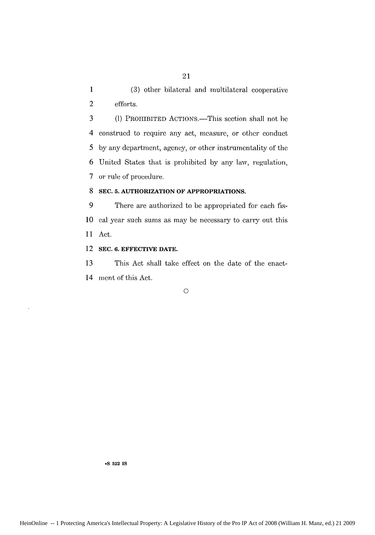**1** (3) other bilateral and multilateral cooperative 2 efforts.

3 (1) PROHIBITED ACTIONS.—This section shall not be 4 construed to require any act, measure, or other conduct 5 by any department, agency, or other instrumentality of the 6 United States that is prohibited by any law, regulation, 7 or rule of procedure.

#### **8 SEC. 5. AUTHORIZATION OF APPROPRIATIONS.**

9 There are authorized to be appropriated for each fis-10 cal year such sums as may be necessary to carry out this 11 Act.

### 12 **SEC. 6. EFFECTIVE DATE.**

13 This Act shall take effect on the date of the enact-14 ment of this Act.

**0**

**-S 522 IS**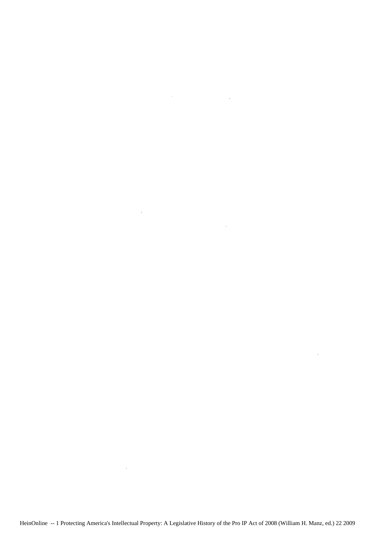HeinOnline -- 1 Protecting America's Intellectual Property: A Legislative History of the Pro IP Act of 2008 (William H. Manz, ed.) 22 2009

 $\label{eq:2.1} \mathcal{L}(\mathcal{L}) = \mathcal{L}(\mathcal{L}) \mathcal{L}(\mathcal{L}) = \mathcal{L}(\mathcal{L}) \mathcal{L}(\mathcal{L}) \mathcal{L}(\mathcal{L})$ 

 $\label{eq:2.1} \frac{1}{\sqrt{2}}\left(\frac{1}{\sqrt{2}}\right)^{2} \left(\frac{1}{\sqrt{2}}\right)^{2} \left(\frac{1}{\sqrt{2}}\right)^{2} \left(\frac{1}{\sqrt{2}}\right)^{2} \left(\frac{1}{\sqrt{2}}\right)^{2} \left(\frac{1}{\sqrt{2}}\right)^{2} \left(\frac{1}{\sqrt{2}}\right)^{2} \left(\frac{1}{\sqrt{2}}\right)^{2} \left(\frac{1}{\sqrt{2}}\right)^{2} \left(\frac{1}{\sqrt{2}}\right)^{2} \left(\frac{1}{\sqrt{2}}\right)^{2} \left(\$ 

 $\mathcal{L}^{\text{max}}_{\text{max}}$  , where  $\mathcal{L}^{\text{max}}_{\text{max}}$ 

 $\mathcal{L}^{\text{max}}_{\text{max}}$  ,  $\mathcal{L}^{\text{max}}_{\text{max}}$ 

 $\label{eq:2.1} \mathcal{L}(\mathcal{L}^{\text{max}}_{\mathcal{L}}(\mathcal{L}^{\text{max}}_{\mathcal{L}})) \leq \mathcal{L}(\mathcal{L}^{\text{max}}_{\mathcal{L}}(\mathcal{L}^{\text{max}}_{\mathcal{L}}))$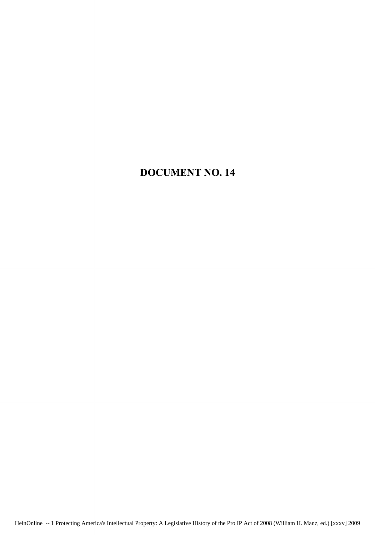## **DOCUMENT** NO. 14